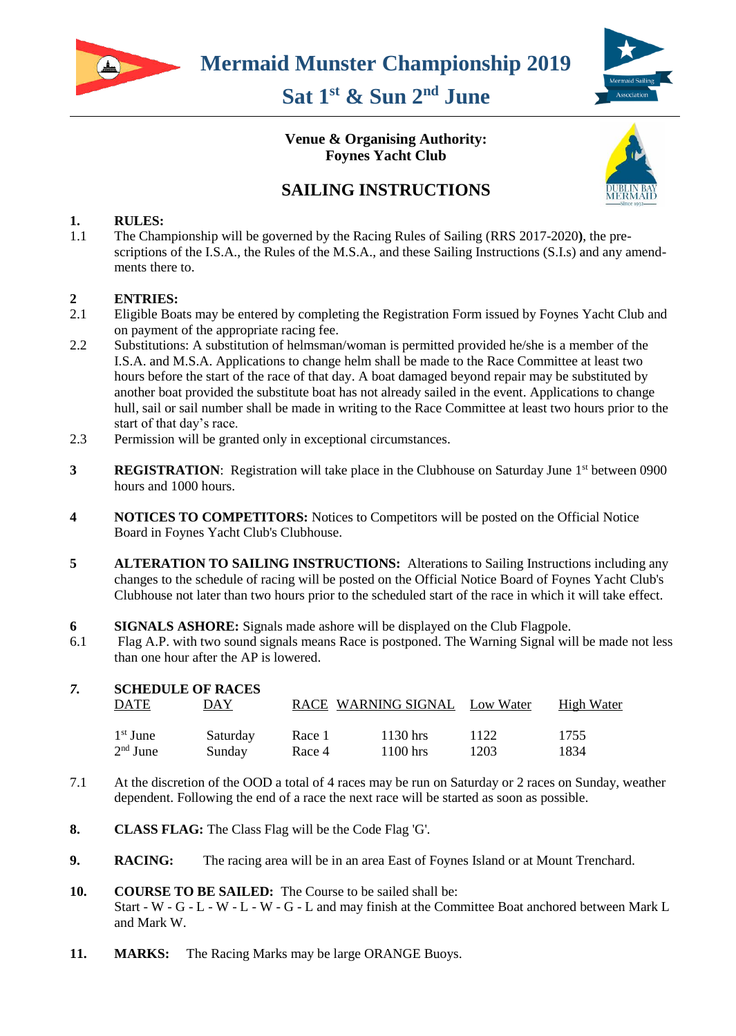

# **Sat 1 st & Sun 2nd June**



#### **Venue & Organising Authority: Foynes Yacht Club**



## **SAILING INSTRUCTIONS**

#### **1. RULES:**

1.1 The Championship will be governed by the Racing Rules of Sailing (RRS 2017-2020**)**, the prescriptions of the I.S.A., the Rules of the M.S.A., and these Sailing Instructions (S.I.s) and any amendments there to.

#### **2 ENTRIES:**

- 2.1 Eligible Boats may be entered by completing the Registration Form issued by Foynes Yacht Club and on payment of the appropriate racing fee.
- 2.2 Substitutions: A substitution of helmsman/woman is permitted provided he/she is a member of the I.S.A. and M.S.A. Applications to change helm shall be made to the Race Committee at least two hours before the start of the race of that day. A boat damaged beyond repair may be substituted by another boat provided the substitute boat has not already sailed in the event. Applications to change hull, sail or sail number shall be made in writing to the Race Committee at least two hours prior to the start of that day's race.
- 2.3 Permission will be granted only in exceptional circumstances.
- **3 REGISTRATION**: Registration will take place in the Clubhouse on Saturday June 1<sup>st</sup> between 0900 hours and 1000 hours.
- **4 NOTICES TO COMPETITORS:** Notices to Competitors will be posted on the Official Notice Board in Foynes Yacht Club's Clubhouse.
- **5 ALTERATION TO SAILING INSTRUCTIONS:** Alterations to Sailing Instructions including any changes to the schedule of racing will be posted on the Official Notice Board of Foynes Yacht Club's Clubhouse not later than two hours prior to the scheduled start of the race in which it will take effect.
- **6 SIGNALS ASHORE:** Signals made ashore will be displayed on the Club Flagpole.
- 6.1 Flag A.P. with two sound signals means Race is postponed. The Warning Signal will be made not less than one hour after the AP is lowered.

|  | <b>SCHEDULE OF RACES</b> |          |        |                               |      |            |
|--|--------------------------|----------|--------|-------------------------------|------|------------|
|  | <b>DATE</b>              | DAY      |        | RACE WARNING SIGNAL Low Water |      | High Water |
|  | $1st$ June               | Saturday | Race 1 | 1130 hrs                      | 1122 | 1755       |
|  | $2nd$ June               | Sunday   | Race 4 | $1100$ hrs                    | 1203 | 1834       |

- 7.1 At the discretion of the OOD a total of 4 races may be run on Saturday or 2 races on Sunday, weather dependent. Following the end of a race the next race will be started as soon as possible.
- **8. CLASS FLAG:** The Class Flag will be the Code Flag 'G'.
- **9. RACING:** The racing area will be in an area East of Foynes Island or at Mount Trenchard.
- **10. COURSE TO BE SAILED:** The Course to be sailed shall be: Start - W - G - L - W - L - W - G - L and may finish at the Committee Boat anchored between Mark L and Mark W.
- **11. MARKS:** The Racing Marks may be large ORANGE Buoys.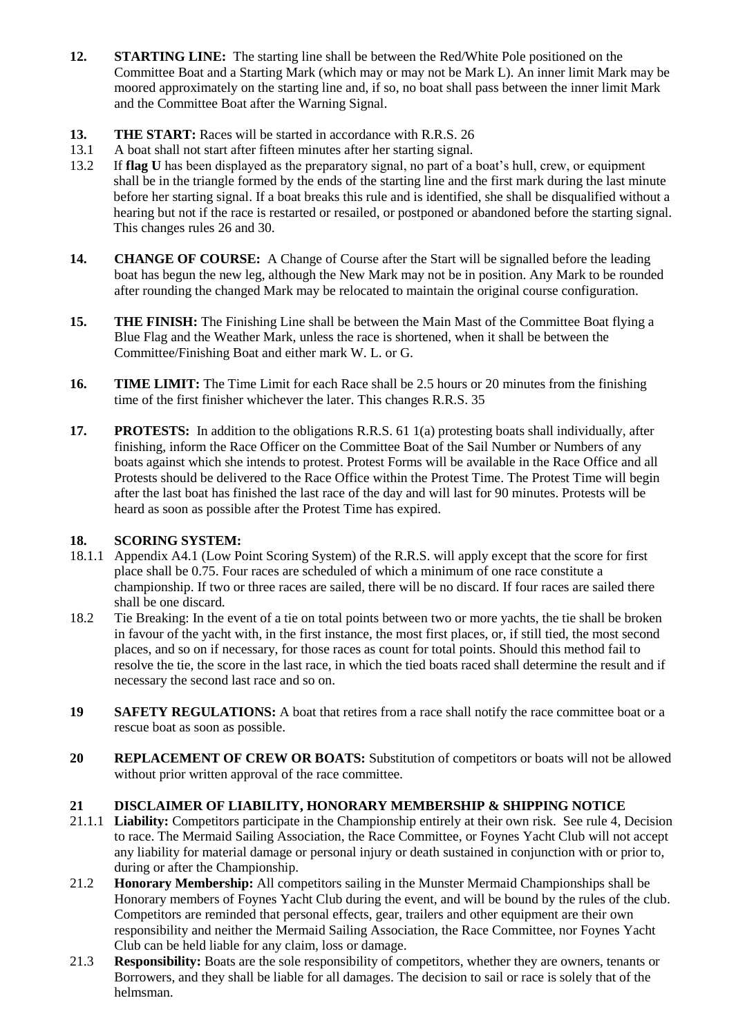- **12. STARTING LINE:** The starting line shall be between the Red/White Pole positioned on the Committee Boat and a Starting Mark (which may or may not be Mark L). An inner limit Mark may be moored approximately on the starting line and, if so, no boat shall pass between the inner limit Mark and the Committee Boat after the Warning Signal.
- **13.** THE START: Races will be started in accordance with R.R.S. 26
- 13.1 A boat shall not start after fifteen minutes after her starting signal.
- 13.2 If **flag U** has been displayed as the preparatory signal, no part of a boat's hull, crew, or equipment shall be in the triangle formed by the ends of the starting line and the first mark during the last minute before her starting signal. If a boat breaks this rule and is identified, she shall be disqualified without a hearing but not if the race is restarted or resailed, or postponed or abandoned before the starting signal. This changes rules 26 and 30.
- **14.** CHANGE OF COURSE: A Change of Course after the Start will be signalled before the leading boat has begun the new leg, although the New Mark may not be in position. Any Mark to be rounded after rounding the changed Mark may be relocated to maintain the original course configuration.
- **15. THE FINISH:** The Finishing Line shall be between the Main Mast of the Committee Boat flying a Blue Flag and the Weather Mark, unless the race is shortened, when it shall be between the Committee/Finishing Boat and either mark W. L. or G.
- **16. TIME LIMIT:** The Time Limit for each Race shall be 2.5 hours or 20 minutes from the finishing time of the first finisher whichever the later. This changes R.R.S. 35
- **17. PROTESTS:** In addition to the obligations R.R.S. 61 1(a) protesting boats shall individually, after finishing, inform the Race Officer on the Committee Boat of the Sail Number or Numbers of any boats against which she intends to protest. Protest Forms will be available in the Race Office and all Protests should be delivered to the Race Office within the Protest Time. The Protest Time will begin after the last boat has finished the last race of the day and will last for 90 minutes. Protests will be heard as soon as possible after the Protest Time has expired.

#### **18. SCORING SYSTEM:**

- 18.1.1 Appendix A4.1 (Low Point Scoring System) of the R.R.S. will apply except that the score for first place shall be 0.75. Four races are scheduled of which a minimum of one race constitute a championship. If two or three races are sailed, there will be no discard. If four races are sailed there shall be one discard.
- 18.2 Tie Breaking: In the event of a tie on total points between two or more yachts, the tie shall be broken in favour of the yacht with, in the first instance, the most first places, or, if still tied, the most second places, and so on if necessary, for those races as count for total points. Should this method fail to resolve the tie, the score in the last race, in which the tied boats raced shall determine the result and if necessary the second last race and so on.
- **19 SAFETY REGULATIONS:** A boat that retires from a race shall notify the race committee boat or a rescue boat as soon as possible.
- **20 REPLACEMENT OF CREW OR BOATS:** Substitution of competitors or boats will not be allowed without prior written approval of the race committee.

#### **21 DISCLAIMER OF LIABILITY, HONORARY MEMBERSHIP & SHIPPING NOTICE**

- 21.1.1 **Liability:** Competitors participate in the Championship entirely at their own risk. See rule 4, Decision to race. The Mermaid Sailing Association, the Race Committee, or Foynes Yacht Club will not accept any liability for material damage or personal injury or death sustained in conjunction with or prior to, during or after the Championship.
- 21.2 **Honorary Membership:** All competitors sailing in the Munster Mermaid Championships shall be Honorary members of Foynes Yacht Club during the event, and will be bound by the rules of the club. Competitors are reminded that personal effects, gear, trailers and other equipment are their own responsibility and neither the Mermaid Sailing Association, the Race Committee, nor Foynes Yacht Club can be held liable for any claim, loss or damage.
- 21.3 **Responsibility:** Boats are the sole responsibility of competitors, whether they are owners, tenants or Borrowers, and they shall be liable for all damages. The decision to sail or race is solely that of the helmsman.